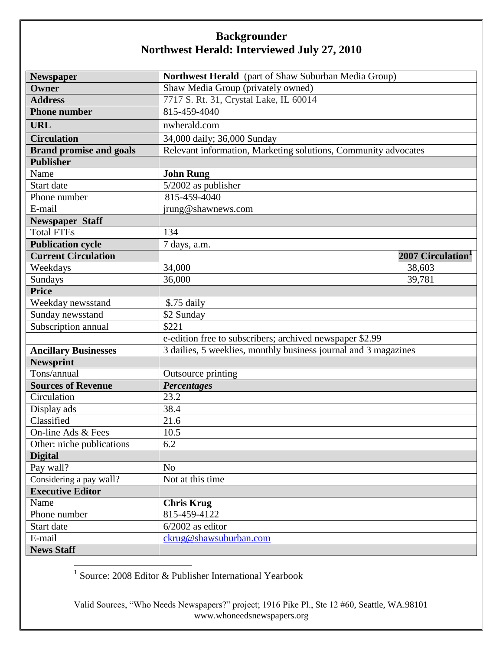| <b>Newspaper</b>               | Northwest Herald (part of Shaw Suburban Media Group)            |
|--------------------------------|-----------------------------------------------------------------|
| Owner                          | Shaw Media Group (privately owned)                              |
| <b>Address</b>                 | 7717 S. Rt. 31, Crystal Lake, IL 60014                          |
| <b>Phone number</b>            | 815-459-4040                                                    |
| <b>URL</b>                     | nwherald.com                                                    |
| <b>Circulation</b>             | 34,000 daily; 36,000 Sunday                                     |
| <b>Brand promise and goals</b> | Relevant information, Marketing solutions, Community advocates  |
| <b>Publisher</b>               |                                                                 |
| Name                           | <b>John Rung</b>                                                |
| Start date                     | $\overline{5/2002}$ as publisher                                |
| Phone number                   | 815-459-4040                                                    |
| E-mail                         | jrung@shawnews.com                                              |
| <b>Newspaper Staff</b>         |                                                                 |
| <b>Total FTEs</b>              | 134                                                             |
| <b>Publication cycle</b>       | 7 days, a.m.                                                    |
| <b>Current Circulation</b>     | 2007 Circulation <sup>1</sup>                                   |
| Weekdays                       | 34,000<br>38,603                                                |
| Sundays                        | 36,000<br>39,781                                                |
| <b>Price</b>                   |                                                                 |
| Weekday newsstand              | \$.75 daily                                                     |
| Sunday newsstand               | \$2 Sunday                                                      |
| Subscription annual            | \$221                                                           |
|                                | e-edition free to subscribers; archived newspaper \$2.99        |
| <b>Ancillary Businesses</b>    | 3 dailies, 5 weeklies, monthly business journal and 3 magazines |
| <b>Newsprint</b>               |                                                                 |
| Tons/annual                    | Outsource printing                                              |
| <b>Sources of Revenue</b>      | <b>Percentages</b>                                              |
| Circulation                    | 23.2                                                            |
| Display ads                    | 38.4                                                            |
| Classified                     | 21.6                                                            |
| On-line Ads & Fees             | 10.5                                                            |
| Other: niche publications      | 6.2                                                             |
| <b>Digital</b>                 |                                                                 |
| Pay wall?                      | N <sub>o</sub>                                                  |
| Considering a pay wall?        | Not at this time                                                |
| <b>Executive Editor</b>        |                                                                 |
| Name                           | <b>Chris Krug</b>                                               |
| Phone number                   | 815-459-4122                                                    |
| Start date                     | $6/2002$ as editor                                              |
| E-mail                         | ckrug@shawsuburban.com                                          |
| <b>News Staff</b>              |                                                                 |

1 Source: 2008 Editor & Publisher International Yearbook

Valid Sources, "Who Needs Newspapers?" project; 1916 Pike Pl., Ste 12 #60, Seattle, WA.98101 www.whoneedsnewspapers.org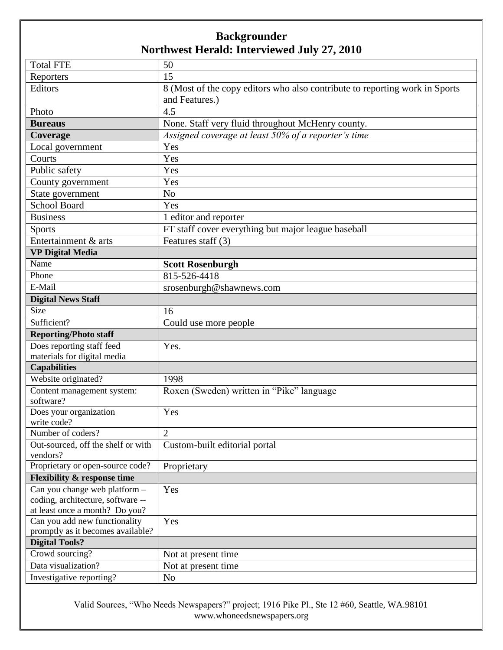| <b>Total FTE</b>                             | 50                                                                          |
|----------------------------------------------|-----------------------------------------------------------------------------|
| Reporters                                    | 15                                                                          |
| Editors                                      | 8 (Most of the copy editors who also contribute to reporting work in Sports |
|                                              | and Features.)                                                              |
| Photo                                        | 4.5                                                                         |
| <b>Bureaus</b>                               | None. Staff very fluid throughout McHenry county.                           |
| Coverage                                     | Assigned coverage at least 50% of a reporter's time                         |
| Local government                             | Yes                                                                         |
| Courts                                       | Yes                                                                         |
| Public safety                                | Yes                                                                         |
| County government                            | Yes                                                                         |
| State government                             | N <sub>o</sub>                                                              |
| <b>School Board</b>                          | Yes                                                                         |
| <b>Business</b>                              | 1 editor and reporter                                                       |
| <b>Sports</b>                                | FT staff cover everything but major league baseball                         |
| Entertainment & arts                         | Features staff (3)                                                          |
| <b>VP Digital Media</b>                      |                                                                             |
| Name                                         | <b>Scott Rosenburgh</b>                                                     |
| Phone                                        | 815-526-4418                                                                |
| E-Mail                                       | srosenburgh@shawnews.com                                                    |
| <b>Digital News Staff</b>                    |                                                                             |
| Size                                         | 16                                                                          |
| Sufficient?                                  | Could use more people                                                       |
| <b>Reporting/Photo staff</b>                 |                                                                             |
| Does reporting staff feed                    | Yes.                                                                        |
| materials for digital media                  |                                                                             |
| <b>Capabilities</b>                          |                                                                             |
| Website originated?                          | 1998                                                                        |
| Content management system:                   | Roxen (Sweden) written in "Pike" language                                   |
| software?                                    |                                                                             |
| Does your organization                       | Yes                                                                         |
| write code?                                  |                                                                             |
| Number of coders?                            | $\overline{2}$                                                              |
| Out-sourced, off the shelf or with           | Custom-built editorial portal                                               |
| vendors?<br>Proprietary or open-source code? |                                                                             |
| <b>Flexibility &amp; response time</b>       | Proprietary                                                                 |
| Can you change web platform -                | Yes                                                                         |
| coding, architecture, software --            |                                                                             |
| at least once a month? Do you?               |                                                                             |
| Can you add new functionality                | Yes                                                                         |
| promptly as it becomes available?            |                                                                             |
| <b>Digital Tools?</b>                        |                                                                             |
| Crowd sourcing?                              | Not at present time.                                                        |
| Data visualization?                          | Not at present time                                                         |
| Investigative reporting?                     | N <sub>o</sub>                                                              |

Valid Sources, "Who Needs Newspapers?" project; 1916 Pike Pl., Ste 12 #60, Seattle, WA.98101 www.whoneedsnewspapers.org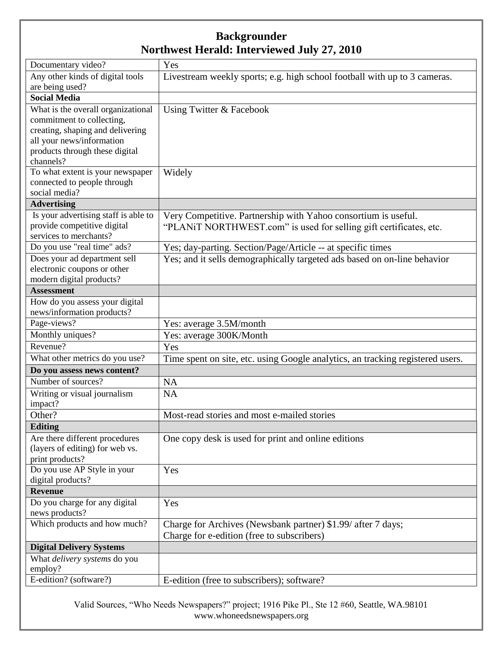| Any other kinds of digital tools<br>Livestream weekly sports; e.g. high school football with up to 3 cameras.<br>are being used?<br><b>Social Media</b><br>What is the overall organizational<br>Using Twitter & Facebook<br>commitment to collecting,<br>creating, shaping and delivering<br>all your news/information<br>products through these digital<br>channels?<br>To what extent is your newspaper<br>Widely<br>connected to people through<br>social media?<br><b>Advertising</b><br>Is your advertising staff is able to<br>Very Competitive. Partnership with Yahoo consortium is useful.<br>provide competitive digital<br>"PLANIT NORTHWEST.com" is used for selling gift certificates, etc.<br>services to merchants?<br>Do you use "real time" ads?<br>Yes; day-parting. Section/Page/Article -- at specific times<br>Yes; and it sells demographically targeted ads based on on-line behavior<br>Does your ad department sell<br>electronic coupons or other<br>modern digital products?<br><b>Assessment</b><br>How do you assess your digital<br>news/information products?<br>Page-views?<br>Yes: average 3.5M/month<br>Monthly uniques?<br>Yes: average 300K/Month<br>Revenue?<br>Yes<br>What other metrics do you use?<br>Time spent on site, etc. using Google analytics, an tracking registered users.<br>Do you assess news content?<br>Number of sources?<br><b>NA</b><br>Writing or visual journalism<br><b>NA</b><br>impact?<br>Other?<br>Most-read stories and most e-mailed stories<br><b>Editing</b><br>One copy desk is used for print and online editions<br>Are there different procedures<br>(layers of editing) for web vs.<br>print products?<br>Do you use AP Style in your<br>Yes<br>digital products?<br><b>Revenue</b><br>Do you charge for any digital<br>Yes<br>news products?<br>Which products and how much?<br>Charge for Archives (Newsbank partner) \$1.99/ after 7 days;<br>Charge for e-edition (free to subscribers)<br><b>Digital Delivery Systems</b><br>What <i>delivery</i> systems do you<br>employ?<br>E-edition? (software?)<br>E-edition (free to subscribers); software? | Documentary video? | Yes |
|-------------------------------------------------------------------------------------------------------------------------------------------------------------------------------------------------------------------------------------------------------------------------------------------------------------------------------------------------------------------------------------------------------------------------------------------------------------------------------------------------------------------------------------------------------------------------------------------------------------------------------------------------------------------------------------------------------------------------------------------------------------------------------------------------------------------------------------------------------------------------------------------------------------------------------------------------------------------------------------------------------------------------------------------------------------------------------------------------------------------------------------------------------------------------------------------------------------------------------------------------------------------------------------------------------------------------------------------------------------------------------------------------------------------------------------------------------------------------------------------------------------------------------------------------------------------------------------------------------------------------------------------------------------------------------------------------------------------------------------------------------------------------------------------------------------------------------------------------------------------------------------------------------------------------------------------------------------------------------------------------------------------------------------------------------------------------------------------------------------------------------------|--------------------|-----|
|                                                                                                                                                                                                                                                                                                                                                                                                                                                                                                                                                                                                                                                                                                                                                                                                                                                                                                                                                                                                                                                                                                                                                                                                                                                                                                                                                                                                                                                                                                                                                                                                                                                                                                                                                                                                                                                                                                                                                                                                                                                                                                                                     |                    |     |
|                                                                                                                                                                                                                                                                                                                                                                                                                                                                                                                                                                                                                                                                                                                                                                                                                                                                                                                                                                                                                                                                                                                                                                                                                                                                                                                                                                                                                                                                                                                                                                                                                                                                                                                                                                                                                                                                                                                                                                                                                                                                                                                                     |                    |     |
|                                                                                                                                                                                                                                                                                                                                                                                                                                                                                                                                                                                                                                                                                                                                                                                                                                                                                                                                                                                                                                                                                                                                                                                                                                                                                                                                                                                                                                                                                                                                                                                                                                                                                                                                                                                                                                                                                                                                                                                                                                                                                                                                     |                    |     |
|                                                                                                                                                                                                                                                                                                                                                                                                                                                                                                                                                                                                                                                                                                                                                                                                                                                                                                                                                                                                                                                                                                                                                                                                                                                                                                                                                                                                                                                                                                                                                                                                                                                                                                                                                                                                                                                                                                                                                                                                                                                                                                                                     |                    |     |
|                                                                                                                                                                                                                                                                                                                                                                                                                                                                                                                                                                                                                                                                                                                                                                                                                                                                                                                                                                                                                                                                                                                                                                                                                                                                                                                                                                                                                                                                                                                                                                                                                                                                                                                                                                                                                                                                                                                                                                                                                                                                                                                                     |                    |     |
|                                                                                                                                                                                                                                                                                                                                                                                                                                                                                                                                                                                                                                                                                                                                                                                                                                                                                                                                                                                                                                                                                                                                                                                                                                                                                                                                                                                                                                                                                                                                                                                                                                                                                                                                                                                                                                                                                                                                                                                                                                                                                                                                     |                    |     |
|                                                                                                                                                                                                                                                                                                                                                                                                                                                                                                                                                                                                                                                                                                                                                                                                                                                                                                                                                                                                                                                                                                                                                                                                                                                                                                                                                                                                                                                                                                                                                                                                                                                                                                                                                                                                                                                                                                                                                                                                                                                                                                                                     |                    |     |
|                                                                                                                                                                                                                                                                                                                                                                                                                                                                                                                                                                                                                                                                                                                                                                                                                                                                                                                                                                                                                                                                                                                                                                                                                                                                                                                                                                                                                                                                                                                                                                                                                                                                                                                                                                                                                                                                                                                                                                                                                                                                                                                                     |                    |     |
|                                                                                                                                                                                                                                                                                                                                                                                                                                                                                                                                                                                                                                                                                                                                                                                                                                                                                                                                                                                                                                                                                                                                                                                                                                                                                                                                                                                                                                                                                                                                                                                                                                                                                                                                                                                                                                                                                                                                                                                                                                                                                                                                     |                    |     |
|                                                                                                                                                                                                                                                                                                                                                                                                                                                                                                                                                                                                                                                                                                                                                                                                                                                                                                                                                                                                                                                                                                                                                                                                                                                                                                                                                                                                                                                                                                                                                                                                                                                                                                                                                                                                                                                                                                                                                                                                                                                                                                                                     |                    |     |
|                                                                                                                                                                                                                                                                                                                                                                                                                                                                                                                                                                                                                                                                                                                                                                                                                                                                                                                                                                                                                                                                                                                                                                                                                                                                                                                                                                                                                                                                                                                                                                                                                                                                                                                                                                                                                                                                                                                                                                                                                                                                                                                                     |                    |     |
|                                                                                                                                                                                                                                                                                                                                                                                                                                                                                                                                                                                                                                                                                                                                                                                                                                                                                                                                                                                                                                                                                                                                                                                                                                                                                                                                                                                                                                                                                                                                                                                                                                                                                                                                                                                                                                                                                                                                                                                                                                                                                                                                     |                    |     |
|                                                                                                                                                                                                                                                                                                                                                                                                                                                                                                                                                                                                                                                                                                                                                                                                                                                                                                                                                                                                                                                                                                                                                                                                                                                                                                                                                                                                                                                                                                                                                                                                                                                                                                                                                                                                                                                                                                                                                                                                                                                                                                                                     |                    |     |
|                                                                                                                                                                                                                                                                                                                                                                                                                                                                                                                                                                                                                                                                                                                                                                                                                                                                                                                                                                                                                                                                                                                                                                                                                                                                                                                                                                                                                                                                                                                                                                                                                                                                                                                                                                                                                                                                                                                                                                                                                                                                                                                                     |                    |     |
|                                                                                                                                                                                                                                                                                                                                                                                                                                                                                                                                                                                                                                                                                                                                                                                                                                                                                                                                                                                                                                                                                                                                                                                                                                                                                                                                                                                                                                                                                                                                                                                                                                                                                                                                                                                                                                                                                                                                                                                                                                                                                                                                     |                    |     |
|                                                                                                                                                                                                                                                                                                                                                                                                                                                                                                                                                                                                                                                                                                                                                                                                                                                                                                                                                                                                                                                                                                                                                                                                                                                                                                                                                                                                                                                                                                                                                                                                                                                                                                                                                                                                                                                                                                                                                                                                                                                                                                                                     |                    |     |
|                                                                                                                                                                                                                                                                                                                                                                                                                                                                                                                                                                                                                                                                                                                                                                                                                                                                                                                                                                                                                                                                                                                                                                                                                                                                                                                                                                                                                                                                                                                                                                                                                                                                                                                                                                                                                                                                                                                                                                                                                                                                                                                                     |                    |     |
|                                                                                                                                                                                                                                                                                                                                                                                                                                                                                                                                                                                                                                                                                                                                                                                                                                                                                                                                                                                                                                                                                                                                                                                                                                                                                                                                                                                                                                                                                                                                                                                                                                                                                                                                                                                                                                                                                                                                                                                                                                                                                                                                     |                    |     |
|                                                                                                                                                                                                                                                                                                                                                                                                                                                                                                                                                                                                                                                                                                                                                                                                                                                                                                                                                                                                                                                                                                                                                                                                                                                                                                                                                                                                                                                                                                                                                                                                                                                                                                                                                                                                                                                                                                                                                                                                                                                                                                                                     |                    |     |
|                                                                                                                                                                                                                                                                                                                                                                                                                                                                                                                                                                                                                                                                                                                                                                                                                                                                                                                                                                                                                                                                                                                                                                                                                                                                                                                                                                                                                                                                                                                                                                                                                                                                                                                                                                                                                                                                                                                                                                                                                                                                                                                                     |                    |     |
|                                                                                                                                                                                                                                                                                                                                                                                                                                                                                                                                                                                                                                                                                                                                                                                                                                                                                                                                                                                                                                                                                                                                                                                                                                                                                                                                                                                                                                                                                                                                                                                                                                                                                                                                                                                                                                                                                                                                                                                                                                                                                                                                     |                    |     |
|                                                                                                                                                                                                                                                                                                                                                                                                                                                                                                                                                                                                                                                                                                                                                                                                                                                                                                                                                                                                                                                                                                                                                                                                                                                                                                                                                                                                                                                                                                                                                                                                                                                                                                                                                                                                                                                                                                                                                                                                                                                                                                                                     |                    |     |
|                                                                                                                                                                                                                                                                                                                                                                                                                                                                                                                                                                                                                                                                                                                                                                                                                                                                                                                                                                                                                                                                                                                                                                                                                                                                                                                                                                                                                                                                                                                                                                                                                                                                                                                                                                                                                                                                                                                                                                                                                                                                                                                                     |                    |     |
|                                                                                                                                                                                                                                                                                                                                                                                                                                                                                                                                                                                                                                                                                                                                                                                                                                                                                                                                                                                                                                                                                                                                                                                                                                                                                                                                                                                                                                                                                                                                                                                                                                                                                                                                                                                                                                                                                                                                                                                                                                                                                                                                     |                    |     |
|                                                                                                                                                                                                                                                                                                                                                                                                                                                                                                                                                                                                                                                                                                                                                                                                                                                                                                                                                                                                                                                                                                                                                                                                                                                                                                                                                                                                                                                                                                                                                                                                                                                                                                                                                                                                                                                                                                                                                                                                                                                                                                                                     |                    |     |
|                                                                                                                                                                                                                                                                                                                                                                                                                                                                                                                                                                                                                                                                                                                                                                                                                                                                                                                                                                                                                                                                                                                                                                                                                                                                                                                                                                                                                                                                                                                                                                                                                                                                                                                                                                                                                                                                                                                                                                                                                                                                                                                                     |                    |     |
|                                                                                                                                                                                                                                                                                                                                                                                                                                                                                                                                                                                                                                                                                                                                                                                                                                                                                                                                                                                                                                                                                                                                                                                                                                                                                                                                                                                                                                                                                                                                                                                                                                                                                                                                                                                                                                                                                                                                                                                                                                                                                                                                     |                    |     |
|                                                                                                                                                                                                                                                                                                                                                                                                                                                                                                                                                                                                                                                                                                                                                                                                                                                                                                                                                                                                                                                                                                                                                                                                                                                                                                                                                                                                                                                                                                                                                                                                                                                                                                                                                                                                                                                                                                                                                                                                                                                                                                                                     |                    |     |
|                                                                                                                                                                                                                                                                                                                                                                                                                                                                                                                                                                                                                                                                                                                                                                                                                                                                                                                                                                                                                                                                                                                                                                                                                                                                                                                                                                                                                                                                                                                                                                                                                                                                                                                                                                                                                                                                                                                                                                                                                                                                                                                                     |                    |     |

Valid Sources, "Who Needs Newspapers?" project; 1916 Pike Pl., Ste 12 #60, Seattle, WA.98101 www.whoneedsnewspapers.org